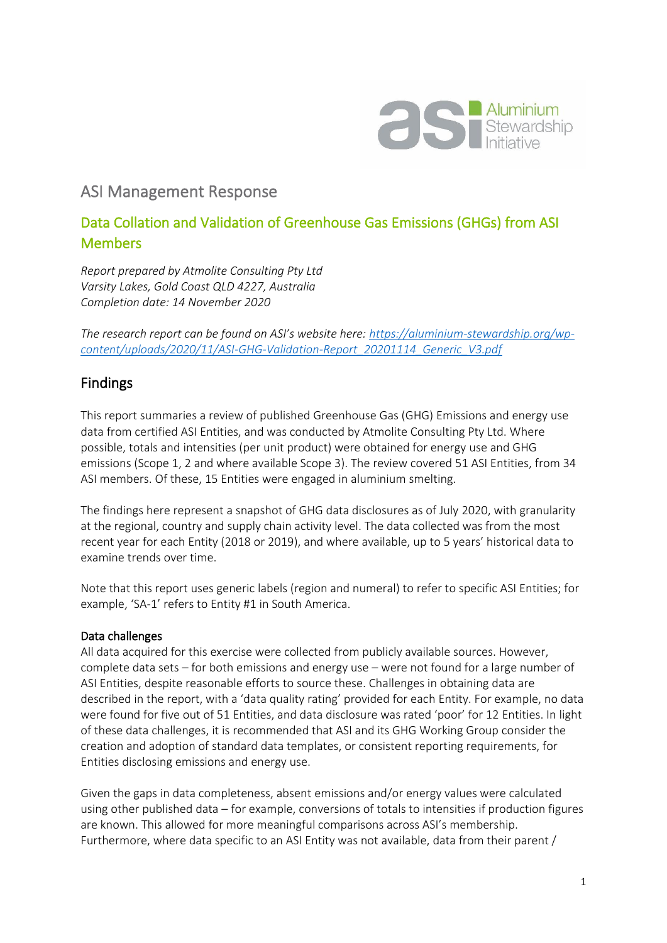

# ASI Management Response

## Data Collation and Validation of Greenhouse Gas Emissions (GHGs) from ASI Members

*Report prepared by Atmolite Consulting Pty Ltd Varsity Lakes, Gold Coast QLD 4227, Australia Completion date: 14 November 2020*

*The research report can be found on ASI's website here: [https://aluminium-stewardship.org/wp](https://aluminium-stewardship.org/wp-content/uploads/2020/11/ASI-GHG-Validation-Report_20201114_Generic_V3.pdf)[content/uploads/2020/11/ASI-GHG-Validation-Report\\_20201114\\_Generic\\_V3.pdf](https://aluminium-stewardship.org/wp-content/uploads/2020/11/ASI-GHG-Validation-Report_20201114_Generic_V3.pdf)*

## Findings

This report summaries a review of published Greenhouse Gas (GHG) Emissions and energy use data from certified ASI Entities, and was conducted by Atmolite Consulting Pty Ltd. Where possible, totals and intensities (per unit product) were obtained for energy use and GHG emissions (Scope 1, 2 and where available Scope 3). The review covered 51 ASI Entities, from 34 ASI members. Of these, 15 Entities were engaged in aluminium smelting.

The findings here represent a snapshot of GHG data disclosures as of July 2020, with granularity at the regional, country and supply chain activity level. The data collected was from the most recent year for each Entity (2018 or 2019), and where available, up to 5 years' historical data to examine trends over time.

Note that this report uses generic labels (region and numeral) to refer to specific ASI Entities; for example, 'SA-1' refers to Entity #1 in South America.

### Data challenges

All data acquired for this exercise were collected from publicly available sources. However, complete data sets – for both emissions and energy use – were not found for a large number of ASI Entities, despite reasonable efforts to source these. Challenges in obtaining data are described in the report, with a 'data quality rating' provided for each Entity. For example, no data were found for five out of 51 Entities, and data disclosure was rated 'poor' for 12 Entities. In light of these data challenges, it is recommended that ASI and its GHG Working Group consider the creation and adoption of standard data templates, or consistent reporting requirements, for Entities disclosing emissions and energy use.

Given the gaps in data completeness, absent emissions and/or energy values were calculated using other published data – for example, conversions of totals to intensities if production figures are known. This allowed for more meaningful comparisons across ASI's membership. Furthermore, where data specific to an ASI Entity was not available, data from their parent /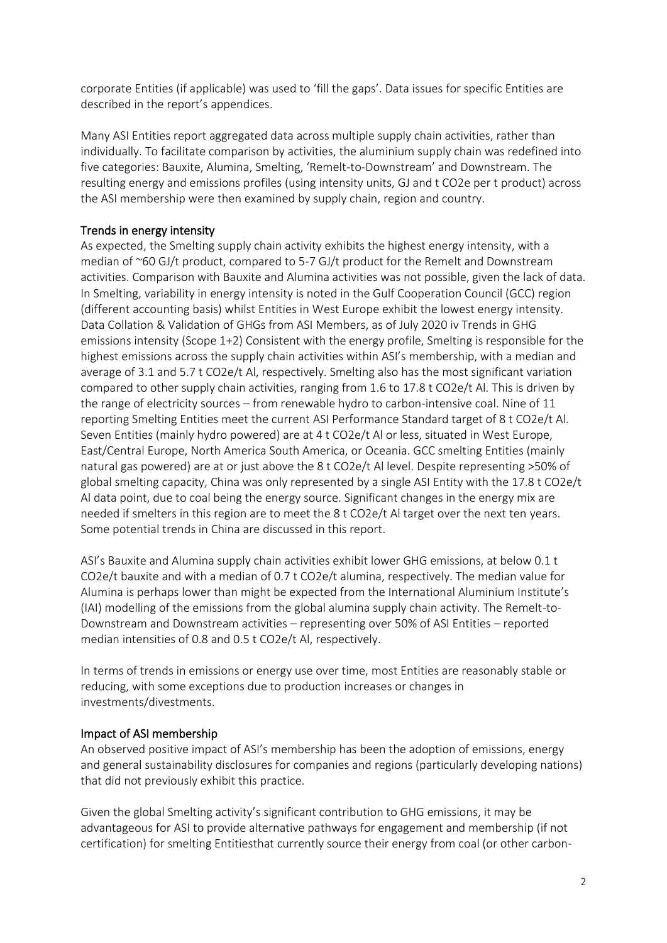corporate Entities (if applicable) was used to 'fill the gaps'. Data issues for specific Entities are described in the report's appendices.

Many ASI Entities report aggregated data across multiple supply chain activities, rather than individually. To facilitate comparison by activities, the aluminium supply chain was redefined into five categories: Bauxite, Alumina, Smelting, 'Remelt-to-Downstream' and Downstream. The resulting energy and emissions profiles (using intensity units, GJ and t CO2e per t product) across the ASI membership were then examined by supply chain, region and country.

### Trends in energy intensity

As expected, the Smelting supply chain activity exhibits the highest energy intensity, with a median of ~60 GJ/t product, compared to 5-7 GJ/t product for the Remelt and Downstream activities. Comparison with Bauxite and Alumina activities was not possible, given the lack of data. In Smelting, variability in energy intensity is noted in the Gulf Cooperation Council (GCC) region (different accounting basis) whilst Entities in West Europe exhibit the lowest energy intensity. Data Collation & Validation of GHGs from ASI Members, as of July 2020 iv Trends in GHG emissions intensity (Scope 1+2) Consistent with the energy profile, Smelting is responsible for the highest emissions across the supply chain activities within ASI's membership, with a median and average of 3.1 and 5.7 t CO2e/t Al, respectively. Smelting also has the most significant variation compared to other supply chain activities, ranging from 1.6 to 17.8 t CO2e/t Al. This is driven by the range of electricity sources – from renewable hydro to carbon-intensive coal. Nine of 11 reporting Smelting Entities meet the current ASI Performance Standard target of 8 t CO2e/t Al. Seven Entities (mainly hydro powered) are at 4 t CO2e/t Al or less, situated in West Europe, East/Central Europe, North America South America, or Oceania. GCC smelting Entities (mainly natural gas powered) are at or just above the 8 t CO2e/t Al level. Despite representing >50% of global smelting capacity, China was only represented by a single ASI Entity with the 17.8 t CO2e/t Al data point, due to coal being the energy source. Significant changes in the energy mix are needed if smelters in this region are to meet the 8 t CO2e/t Al target over the next ten years. Some potential trends in China are discussed in this report.

ASI's Bauxite and Alumina supply chain activities exhibit lower GHG emissions, at below 0.1 t CO2e/t bauxite and with a median of 0.7 t CO2e/t alumina, respectively. The median value for Alumina is perhaps lower than might be expected from the International Aluminium Institute's (IAI) modelling of the emissions from the global alumina supply chain activity. The Remelt-to-Downstream and Downstream activities – representing over 50% of ASI Entities – reported median intensities of 0.8 and 0.5 t CO2e/t Al, respectively.

In terms of trends in emissions or energy use over time, most Entities are reasonably stable or reducing, with some exceptions due to production increases or changes in investments/divestments.

#### Impact of ASI membership

An observed positive impact of ASI's membership has been the adoption of emissions, energy and general sustainability disclosures for companies and regions (particularly developing nations) that did not previously exhibit this practice.

Given the global Smelting activity's significant contribution to GHG emissions, it may be advantageous for ASI to provide alternative pathways for engagement and membership (if not certification) for smelting Entitiesthat currently source their energy from coal (or other carbon